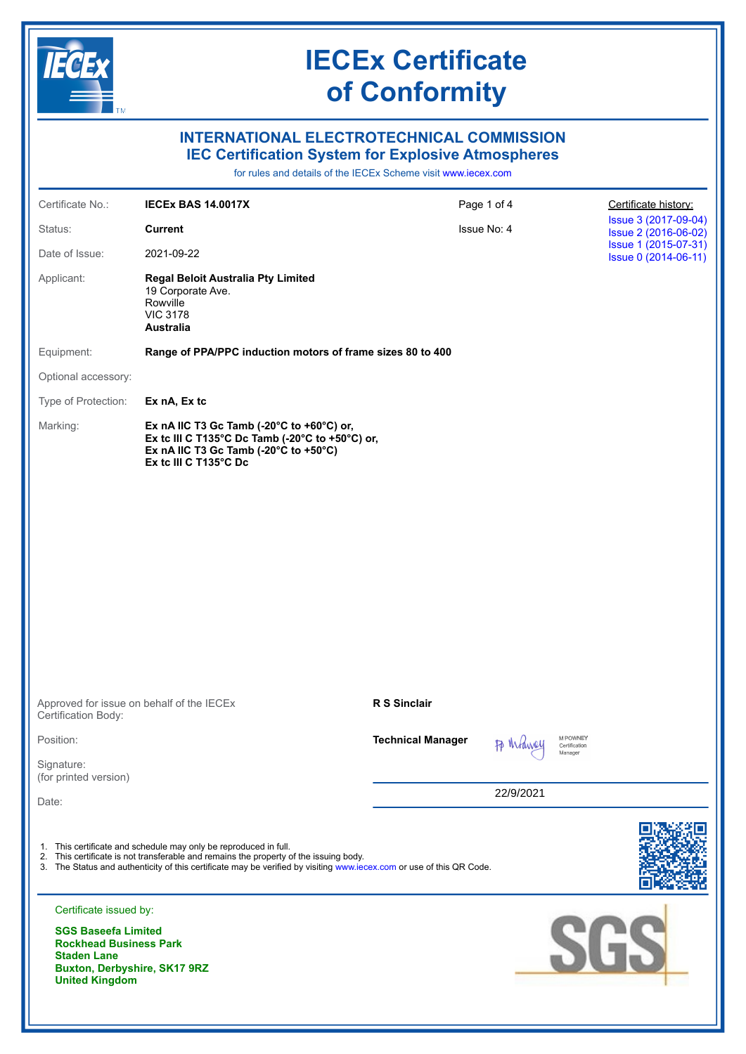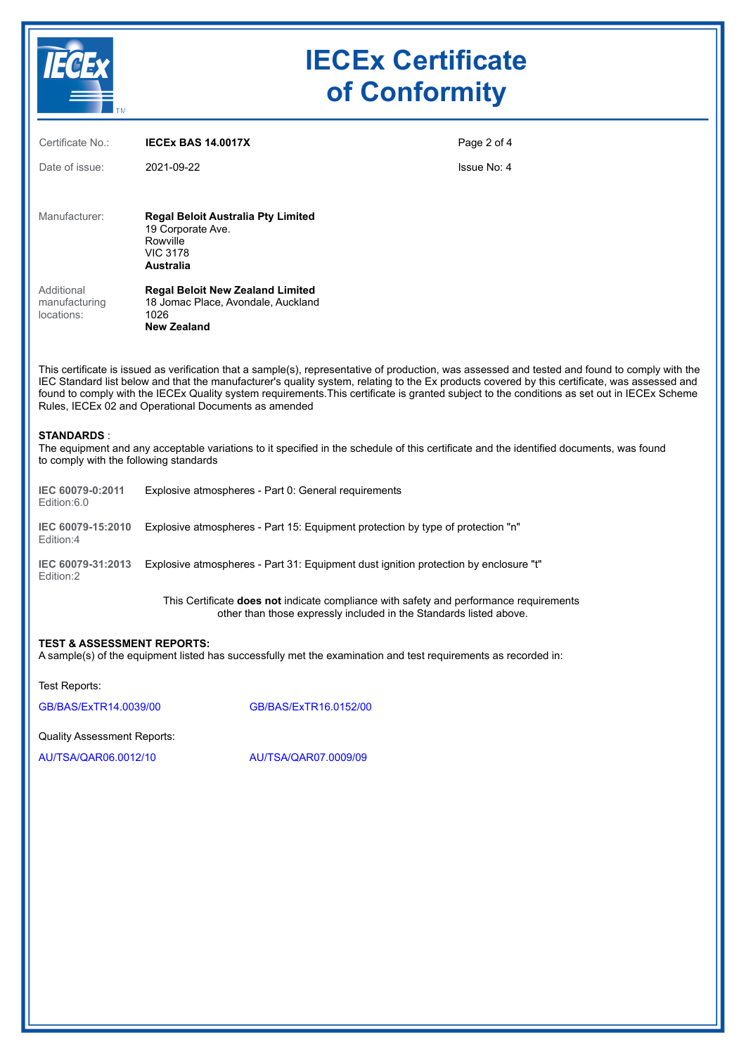

# **IECEx Certificate of Conformity**

| Certificate No.:                                                                                                                                                                                                                                                                                                                                                                                                                                                                                         | <b>IECEX BAS 14.0017X</b>                                                                                                                                           | Page 2 of 4 |
|----------------------------------------------------------------------------------------------------------------------------------------------------------------------------------------------------------------------------------------------------------------------------------------------------------------------------------------------------------------------------------------------------------------------------------------------------------------------------------------------------------|---------------------------------------------------------------------------------------------------------------------------------------------------------------------|-------------|
| Date of issue:                                                                                                                                                                                                                                                                                                                                                                                                                                                                                           | 2021-09-22                                                                                                                                                          | Issue No: 4 |
|                                                                                                                                                                                                                                                                                                                                                                                                                                                                                                          |                                                                                                                                                                     |             |
| Manufacturer:                                                                                                                                                                                                                                                                                                                                                                                                                                                                                            | <b>Regal Beloit Australia Pty Limited</b><br>19 Corporate Ave.<br>Rowville<br><b>VIC 3178</b><br><b>Australia</b>                                                   |             |
| Additional<br>manufacturing<br>locations:                                                                                                                                                                                                                                                                                                                                                                                                                                                                | <b>Regal Beloit New Zealand Limited</b><br>18 Jomac Place, Avondale, Auckland<br>1026<br><b>New Zealand</b>                                                         |             |
| This certificate is issued as verification that a sample(s), representative of production, was assessed and tested and found to comply with the<br>IEC Standard list below and that the manufacturer's quality system, relating to the Ex products covered by this certificate, was assessed and<br>found to comply with the IECEx Quality system requirements. This certificate is granted subject to the conditions as set out in IECEx Scheme<br>Rules, IECEx 02 and Operational Documents as amended |                                                                                                                                                                     |             |
| <b>STANDARDS:</b><br>The equipment and any acceptable variations to it specified in the schedule of this certificate and the identified documents, was found<br>to comply with the following standards                                                                                                                                                                                                                                                                                                   |                                                                                                                                                                     |             |
| IEC 60079-0:2011<br>Edition:6.0                                                                                                                                                                                                                                                                                                                                                                                                                                                                          | Explosive atmospheres - Part 0: General requirements                                                                                                                |             |
| IEC 60079-15:2010<br>Edition:4                                                                                                                                                                                                                                                                                                                                                                                                                                                                           | Explosive atmospheres - Part 15: Equipment protection by type of protection "n"                                                                                     |             |
| IEC 60079-31:2013<br>Edition:2                                                                                                                                                                                                                                                                                                                                                                                                                                                                           | Explosive atmospheres - Part 31: Equipment dust ignition protection by enclosure "t"                                                                                |             |
|                                                                                                                                                                                                                                                                                                                                                                                                                                                                                                          | This Certificate <b>does not</b> indicate compliance with safety and performance requirements<br>other than those expressly included in the Standards listed above. |             |

#### **TEST & ASSESSMENT REPORTS:**

A sample(s) of the equipment listed has successfully met the examination and test requirements as recorded in:

Test Reports:

[GB/BAS/ExTR14.0039/00](https://www.iecex-certs.com/#/deliverables/REPORT/18431/view) [GB/BAS/ExTR16.0152/00](https://www.iecex-certs.com/#/deliverables/REPORT/19437/view)

Quality Assessment Reports:

[AU/TSA/QAR06.0012/10](https://www.iecex-certs.com/#/deliverables/REPORT/70884/view) [AU/TSA/QAR07.0009/09](https://www.iecex-certs.com/#/deliverables/REPORT/77075/view)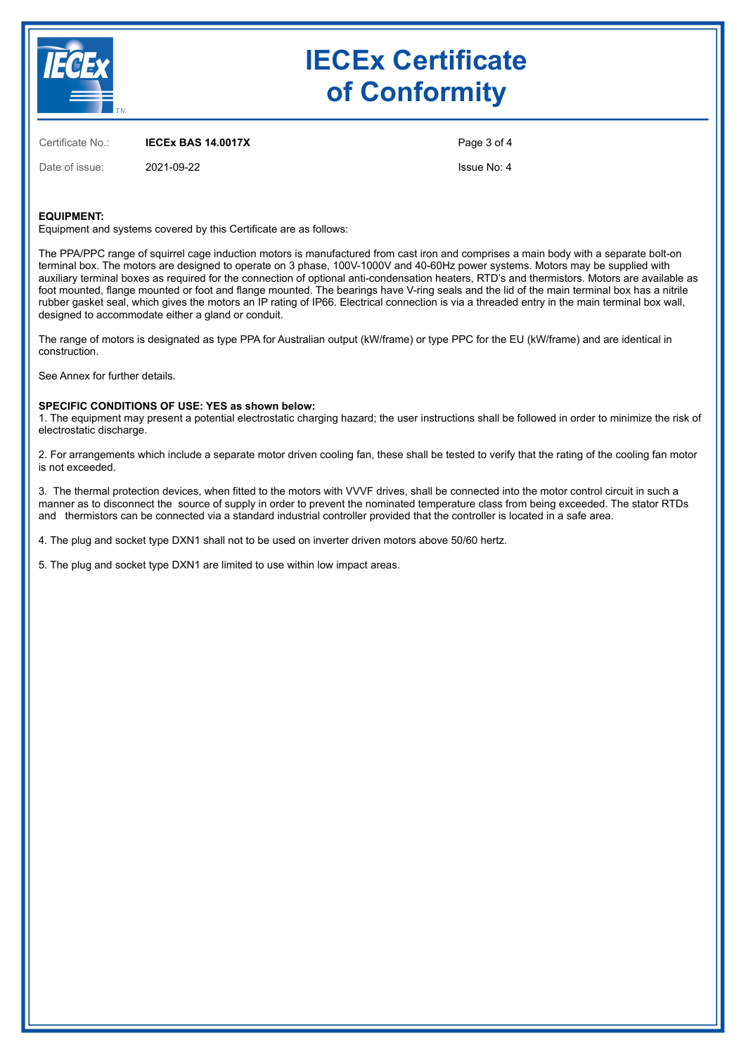

## **IECEx Certificate of Conformity**

Certificate No.: **IECEx BAS 14.0017X**

Date of issue: 2021-09-22

Page 3 of 4

Issue No: 4

### **EQUIPMENT:**

Equipment and systems covered by this Certificate are as follows:

The PPA/PPC range of squirrel cage induction motors is manufactured from cast iron and comprises a main body with a separate bolt-on terminal box. The motors are designed to operate on 3 phase, 100V-1000V and 40-60Hz power systems. Motors may be supplied with auxiliary terminal boxes as required for the connection of optional anti-condensation heaters, RTD's and thermistors. Motors are available as foot mounted, flange mounted or foot and flange mounted. The bearings have V-ring seals and the lid of the main terminal box has a nitrile rubber gasket seal, which gives the motors an IP rating of IP66. Electrical connection is via a threaded entry in the main terminal box wall, designed to accommodate either a gland or conduit.

The range of motors is designated as type PPA for Australian output (kW/frame) or type PPC for the EU (kW/frame) and are identical in construction.

See Annex for further details.

#### **SPECIFIC CONDITIONS OF USE: YES as shown below:**

1. The equipment may present a potential electrostatic charging hazard; the user instructions shall be followed in order to minimize the risk of electrostatic discharge.

2. For arrangements which include a separate motor driven cooling fan, these shall be tested to verify that the rating of the cooling fan motor is not exceeded.

3. The thermal protection devices, when fitted to the motors with VVVF drives, shall be connected into the motor control circuit in such a manner as to disconnect the source of supply in order to prevent the nominated temperature class from being exceeded. The stator RTDs and thermistors can be connected via a standard industrial controller provided that the controller is located in a safe area.

4. The plug and socket type DXN1 shall not to be used on inverter driven motors above 50/60 hertz.

5. The plug and socket type DXN1 are limited to use within low impact areas.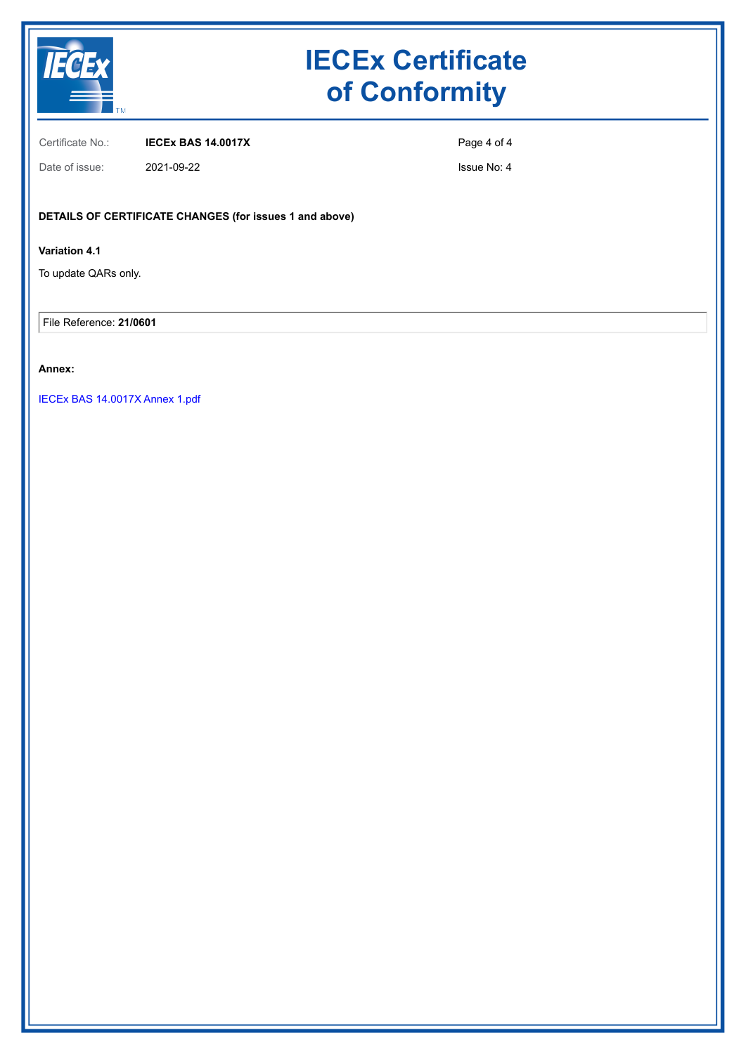

# **IECEx Certificate of Conformity**

Certificate No.: **IECEx BAS 14.0017X**

Page 4 of 4

Date of issue: 2021-09-22

Issue No: 4

## **DETAILS OF CERTIFICATE CHANGES (for issues 1 and above)**

## **Variation 4.1**

To update QARs only.

File Reference: **21/0601**

## **Annex:**

[IECEx BAS 14.0017X Annex 1.pdf](https://www.iecex-certs.com/#/deliverables/CERT/56981/view)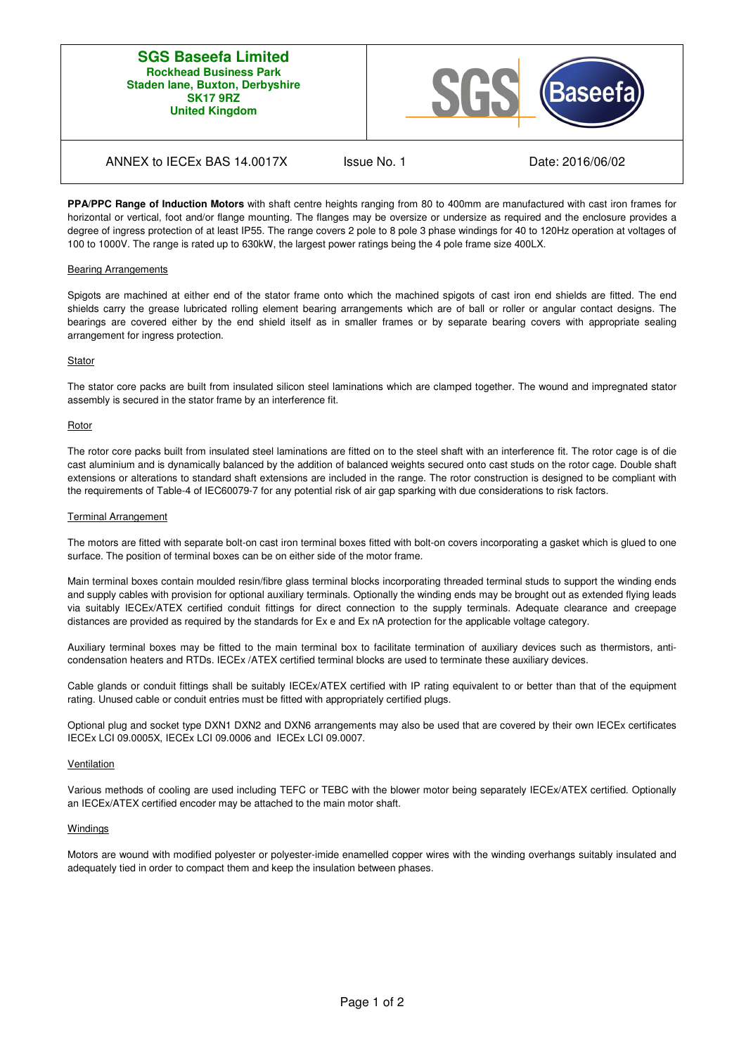### **SGS Baseefa Limited Rockhead Business Park Staden lane, Buxton, Derbyshire SK17 9RZ United Kingdom**



## ANNEX to IECEx BAS 14.0017X Issue No. 1 Date: 2016/06/02

**PPA/PPC Range of Induction Motors** with shaft centre heights ranging from 80 to 400mm are manufactured with cast iron frames for horizontal or vertical, foot and/or flange mounting. The flanges may be oversize or undersize as required and the enclosure provides a degree of ingress protection of at least IP55. The range covers 2 pole to 8 pole 3 phase windings for 40 to 120Hz operation at voltages of 100 to 1000V. The range is rated up to 630kW, the largest power ratings being the 4 pole frame size 400LX.

#### Bearing Arrangements

Spigots are machined at either end of the stator frame onto which the machined spigots of cast iron end shields are fitted. The end shields carry the grease lubricated rolling element bearing arrangements which are of ball or roller or angular contact designs. The bearings are covered either by the end shield itself as in smaller frames or by separate bearing covers with appropriate sealing arrangement for ingress protection.

#### **Stator**

The stator core packs are built from insulated silicon steel laminations which are clamped together. The wound and impregnated stator assembly is secured in the stator frame by an interference fit.

#### Rotor

The rotor core packs built from insulated steel laminations are fitted on to the steel shaft with an interference fit. The rotor cage is of die cast aluminium and is dynamically balanced by the addition of balanced weights secured onto cast studs on the rotor cage. Double shaft extensions or alterations to standard shaft extensions are included in the range. The rotor construction is designed to be compliant with the requirements of Table-4 of IEC60079-7 for any potential risk of air gap sparking with due considerations to risk factors.

#### Terminal Arrangement

The motors are fitted with separate bolt-on cast iron terminal boxes fitted with bolt-on covers incorporating a gasket which is glued to one surface. The position of terminal boxes can be on either side of the motor frame.

Main terminal boxes contain moulded resin/fibre glass terminal blocks incorporating threaded terminal studs to support the winding ends and supply cables with provision for optional auxiliary terminals. Optionally the winding ends may be brought out as extended flying leads via suitably IECEx/ATEX certified conduit fittings for direct connection to the supply terminals. Adequate clearance and creepage distances are provided as required by the standards for Ex e and Ex nA protection for the applicable voltage category.

Auxiliary terminal boxes may be fitted to the main terminal box to facilitate termination of auxiliary devices such as thermistors, anticondensation heaters and RTDs. IECEx /ATEX certified terminal blocks are used to terminate these auxiliary devices.

Cable glands or conduit fittings shall be suitably IECEx/ATEX certified with IP rating equivalent to or better than that of the equipment rating. Unused cable or conduit entries must be fitted with appropriately certified plugs.

Optional plug and socket type DXN1 DXN2 and DXN6 arrangements may also be used that are covered by their own IECEx certificates IECEx LCI 09.0005X, IECEx LCI 09.0006 and IECEx LCI 09.0007.

#### Ventilation

Various methods of cooling are used including TEFC or TEBC with the blower motor being separately IECEx/ATEX certified. Optionally an IECEx/ATEX certified encoder may be attached to the main motor shaft.

#### **Windings**

Motors are wound with modified polyester or polyester-imide enamelled copper wires with the winding overhangs suitably insulated and adequately tied in order to compact them and keep the insulation between phases.